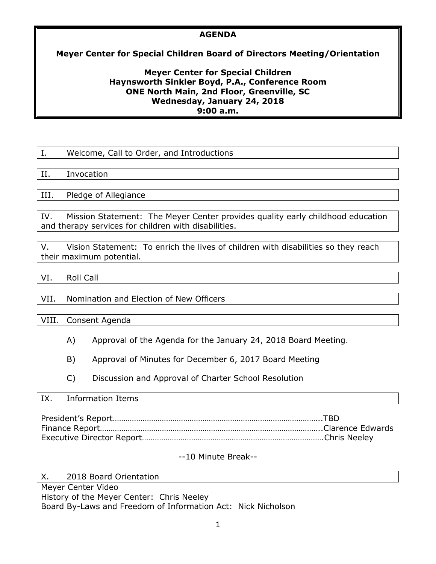## **AGENDA**

# **Meyer Center for Special Children Board of Directors Meeting/Orientation**

## **Meyer Center for Special Children Haynsworth Sinkler Boyd, P.A., Conference Room ONE North Main, 2nd Floor, Greenville, SC Wednesday, January 24, 2018 9:00 a.m.**

| Ι.   | Welcome, Call to Order, and Introductions |
|------|-------------------------------------------|
|      |                                           |
| II.  | Invocation                                |
|      |                                           |
| III. | Pledge of Allegiance                      |
|      |                                           |

IV. Mission Statement: The Meyer Center provides quality early childhood education and therapy services for children with disabilities.

V. Vision Statement: To enrich the lives of children with disabilities so they reach their maximum potential.

VI. Roll Call

### VII. Nomination and Election of New Officers

VIII. Consent Agenda

- A) Approval of the Agenda for the January 24, 2018 Board Meeting.
- B) Approval of Minutes for December 6, 2017 Board Meeting
- C) Discussion and Approval of Charter School Resolution

### IX. Information Items

# --10 Minute Break--

X. 2018 Board Orientation Meyer Center Video History of the Meyer Center: Chris Neeley Board By-Laws and Freedom of Information Act: Nick Nicholson